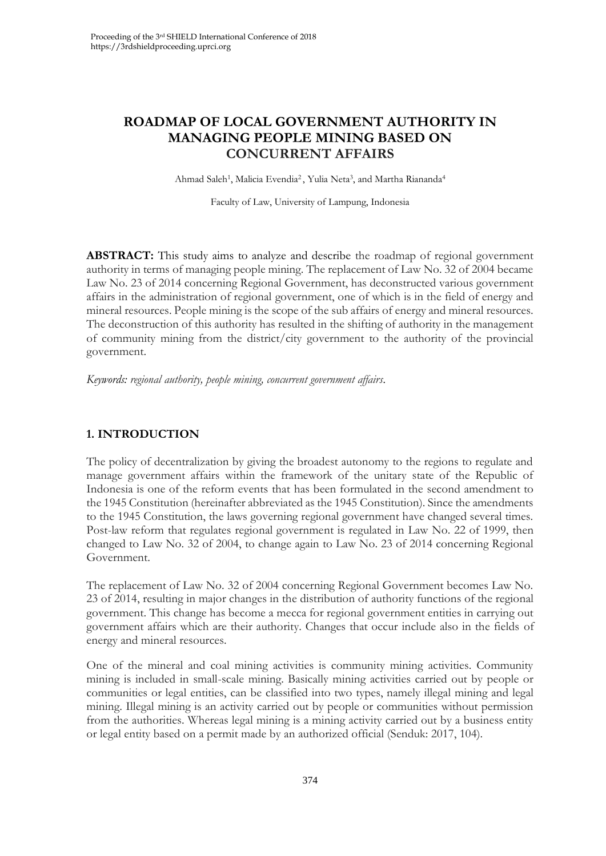# **ROADMAP OF LOCAL GOVERNMENT AUTHORITY IN MANAGING PEOPLE MINING BASED ON CONCURRENT AFFAIRS**

Ahmad Saleh<sup>1</sup>, Malicia Evendia<sup>2</sup>, Yulia Neta<sup>3</sup>, and Martha Riananda<sup>4</sup>

Faculty of Law, University of Lampung, Indonesia

**ABSTRACT:** This study aims to analyze and describe the roadmap of regional government authority in terms of managing people mining. The replacement of Law No. 32 of 2004 became Law No. 23 of 2014 concerning Regional Government, has deconstructed various government affairs in the administration of regional government, one of which is in the field of energy and mineral resources. People mining is the scope of the sub affairs of energy and mineral resources. The deconstruction of this authority has resulted in the shifting of authority in the management of community mining from the district/city government to the authority of the provincial government.

*Keywords: regional authority, people mining, concurrent government affairs.*

# **1. INTRODUCTION**

The policy of decentralization by giving the broadest autonomy to the regions to regulate and manage government affairs within the framework of the unitary state of the Republic of Indonesia is one of the reform events that has been formulated in the second amendment to the 1945 Constitution (hereinafter abbreviated as the 1945 Constitution). Since the amendments to the 1945 Constitution, the laws governing regional government have changed several times. Post-law reform that regulates regional government is regulated in Law No. 22 of 1999, then changed to Law No. 32 of 2004, to change again to Law No. 23 of 2014 concerning Regional Government.

The replacement of Law No. 32 of 2004 concerning Regional Government becomes Law No. 23 of 2014, resulting in major changes in the distribution of authority functions of the regional government. This change has become a mecca for regional government entities in carrying out government affairs which are their authority. Changes that occur include also in the fields of energy and mineral resources.

One of the mineral and coal mining activities is community mining activities. Community mining is included in small-scale mining. Basically mining activities carried out by people or communities or legal entities, can be classified into two types, namely illegal mining and legal mining. Illegal mining is an activity carried out by people or communities without permission from the authorities. Whereas legal mining is a mining activity carried out by a business entity or legal entity based on a permit made by an authorized official (Senduk: 2017, 104).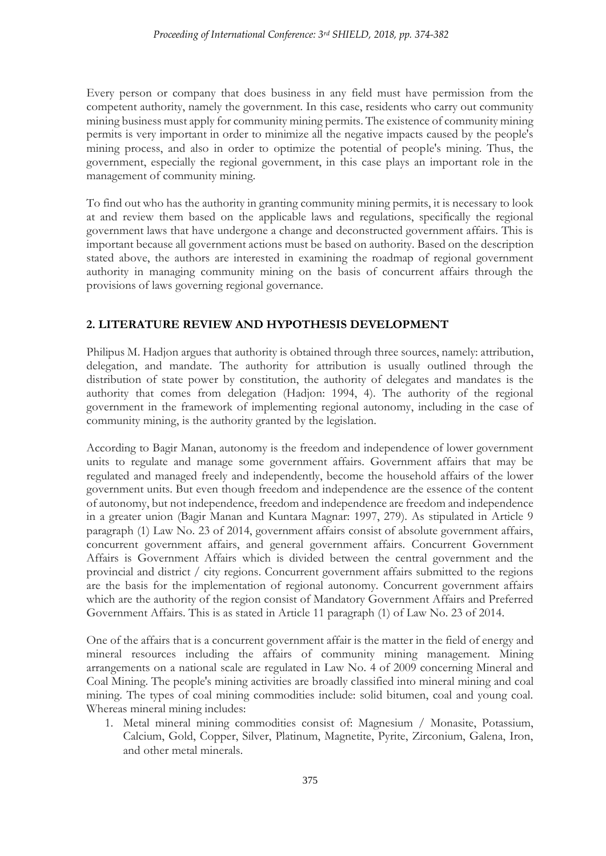Every person or company that does business in any field must have permission from the competent authority, namely the government. In this case, residents who carry out community mining business must apply for community mining permits. The existence of community mining permits is very important in order to minimize all the negative impacts caused by the people's mining process, and also in order to optimize the potential of people's mining. Thus, the government, especially the regional government, in this case plays an important role in the management of community mining.

To find out who has the authority in granting community mining permits, it is necessary to look at and review them based on the applicable laws and regulations, specifically the regional government laws that have undergone a change and deconstructed government affairs. This is important because all government actions must be based on authority. Based on the description stated above, the authors are interested in examining the roadmap of regional government authority in managing community mining on the basis of concurrent affairs through the provisions of laws governing regional governance.

## **2. LITERATURE REVIEW AND HYPOTHESIS DEVELOPMENT**

Philipus M. Hadjon argues that authority is obtained through three sources, namely: attribution, delegation, and mandate. The authority for attribution is usually outlined through the distribution of state power by constitution, the authority of delegates and mandates is the authority that comes from delegation (Hadjon: 1994, 4). The authority of the regional government in the framework of implementing regional autonomy, including in the case of community mining, is the authority granted by the legislation.

According to Bagir Manan, autonomy is the freedom and independence of lower government units to regulate and manage some government affairs. Government affairs that may be regulated and managed freely and independently, become the household affairs of the lower government units. But even though freedom and independence are the essence of the content of autonomy, but not independence, freedom and independence are freedom and independence in a greater union (Bagir Manan and Kuntara Magnar: 1997, 279). As stipulated in Article 9 paragraph (1) Law No. 23 of 2014, government affairs consist of absolute government affairs, concurrent government affairs, and general government affairs. Concurrent Government Affairs is Government Affairs which is divided between the central government and the provincial and district / city regions. Concurrent government affairs submitted to the regions are the basis for the implementation of regional autonomy. Concurrent government affairs which are the authority of the region consist of Mandatory Government Affairs and Preferred Government Affairs. This is as stated in Article 11 paragraph (1) of Law No. 23 of 2014.

One of the affairs that is a concurrent government affair is the matter in the field of energy and mineral resources including the affairs of community mining management. Mining arrangements on a national scale are regulated in Law No. 4 of 2009 concerning Mineral and Coal Mining. The people's mining activities are broadly classified into mineral mining and coal mining. The types of coal mining commodities include: solid bitumen, coal and young coal. Whereas mineral mining includes:

1. Metal mineral mining commodities consist of: Magnesium / Monasite, Potassium, Calcium, Gold, Copper, Silver, Platinum, Magnetite, Pyrite, Zirconium, Galena, Iron, and other metal minerals.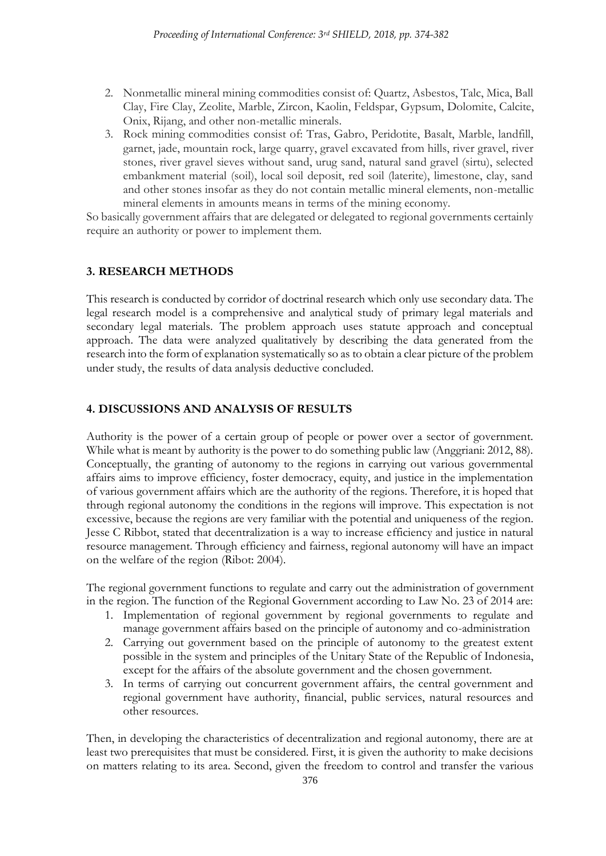- 2. Nonmetallic mineral mining commodities consist of: Quartz, Asbestos, Talc, Mica, Ball Clay, Fire Clay, Zeolite, Marble, Zircon, Kaolin, Feldspar, Gypsum, Dolomite, Calcite, Onix, Rijang, and other non-metallic minerals.
- 3. Rock mining commodities consist of: Tras, Gabro, Peridotite, Basalt, Marble, landfill, garnet, jade, mountain rock, large quarry, gravel excavated from hills, river gravel, river stones, river gravel sieves without sand, urug sand, natural sand gravel (sirtu), selected embankment material (soil), local soil deposit, red soil (laterite), limestone, clay, sand and other stones insofar as they do not contain metallic mineral elements, non-metallic mineral elements in amounts means in terms of the mining economy.

So basically government affairs that are delegated or delegated to regional governments certainly require an authority or power to implement them.

### **3. RESEARCH METHODS**

This research is conducted by corridor of doctrinal research which only use secondary data. The legal research model is a comprehensive and analytical study of primary legal materials and secondary legal materials. The problem approach uses statute approach and conceptual approach. The data were analyzed qualitatively by describing the data generated from the research into the form of explanation systematically so as to obtain a clear picture of the problem under study, the results of data analysis deductive concluded.

## **4. DISCUSSIONS AND ANALYSIS OF RESULTS**

Authority is the power of a certain group of people or power over a sector of government. While what is meant by authority is the power to do something public law (Anggriani: 2012, 88). Conceptually, the granting of autonomy to the regions in carrying out various governmental affairs aims to improve efficiency, foster democracy, equity, and justice in the implementation of various government affairs which are the authority of the regions. Therefore, it is hoped that through regional autonomy the conditions in the regions will improve. This expectation is not excessive, because the regions are very familiar with the potential and uniqueness of the region. Jesse C Ribbot, stated that decentralization is a way to increase efficiency and justice in natural resource management. Through efficiency and fairness, regional autonomy will have an impact on the welfare of the region (Ribot: 2004).

The regional government functions to regulate and carry out the administration of government in the region. The function of the Regional Government according to Law No. 23 of 2014 are:

- 1. Implementation of regional government by regional governments to regulate and manage government affairs based on the principle of autonomy and co-administration
- 2. Carrying out government based on the principle of autonomy to the greatest extent possible in the system and principles of the Unitary State of the Republic of Indonesia, except for the affairs of the absolute government and the chosen government.
- 3. In terms of carrying out concurrent government affairs, the central government and regional government have authority, financial, public services, natural resources and other resources.

Then, in developing the characteristics of decentralization and regional autonomy, there are at least two prerequisites that must be considered. First, it is given the authority to make decisions on matters relating to its area. Second, given the freedom to control and transfer the various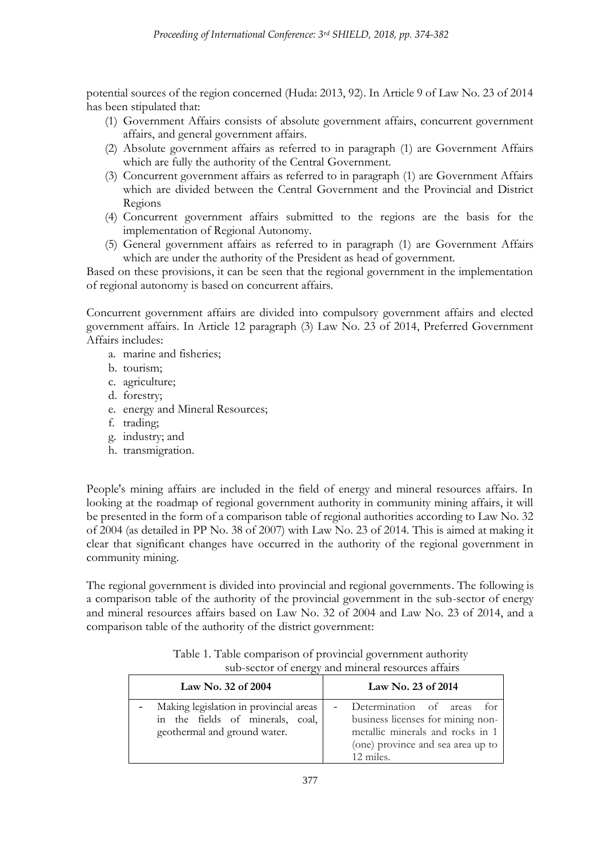potential sources of the region concerned (Huda: 2013, 92). In Article 9 of Law No. 23 of 2014 has been stipulated that:

- (1) Government Affairs consists of absolute government affairs, concurrent government affairs, and general government affairs.
- (2) Absolute government affairs as referred to in paragraph (1) are Government Affairs which are fully the authority of the Central Government.
- (3) Concurrent government affairs as referred to in paragraph (1) are Government Affairs which are divided between the Central Government and the Provincial and District Regions
- (4) Concurrent government affairs submitted to the regions are the basis for the implementation of Regional Autonomy.
- (5) General government affairs as referred to in paragraph (1) are Government Affairs which are under the authority of the President as head of government.

Based on these provisions, it can be seen that the regional government in the implementation of regional autonomy is based on concurrent affairs.

Concurrent government affairs are divided into compulsory government affairs and elected government affairs. In Article 12 paragraph (3) Law No. 23 of 2014, Preferred Government Affairs includes:

- a. marine and fisheries;
- b. tourism;
- c. agriculture;
- d. forestry;
- e. energy and Mineral Resources;
- f. trading;
- g. industry; and
- h. transmigration.

People's mining affairs are included in the field of energy and mineral resources affairs. In looking at the roadmap of regional government authority in community mining affairs, it will be presented in the form of a comparison table of regional authorities according to Law No. 32 of 2004 (as detailed in PP No. 38 of 2007) with Law No. 23 of 2014. This is aimed at making it clear that significant changes have occurred in the authority of the regional government in community mining.

The regional government is divided into provincial and regional governments. The following is a comparison table of the authority of the provincial government in the sub-sector of energy and mineral resources affairs based on Law No. 32 of 2004 and Law No. 23 of 2014, and a comparison table of the authority of the district government:

| Table 1. Table comparison of provincial government authority |  |
|--------------------------------------------------------------|--|
| sub-sector of energy and mineral resources affairs           |  |

| Law No. 32 of 2004                                                                                         | Law No. 23 of $2014$                                                                                                                              |
|------------------------------------------------------------------------------------------------------------|---------------------------------------------------------------------------------------------------------------------------------------------------|
| Making legislation in provincial areas<br>in the fields of minerals, coal,<br>geothermal and ground water. | Determination of areas<br>business licenses for mining non-<br>metallic minerals and rocks in 1<br>(one) province and sea area up to<br>12 miles. |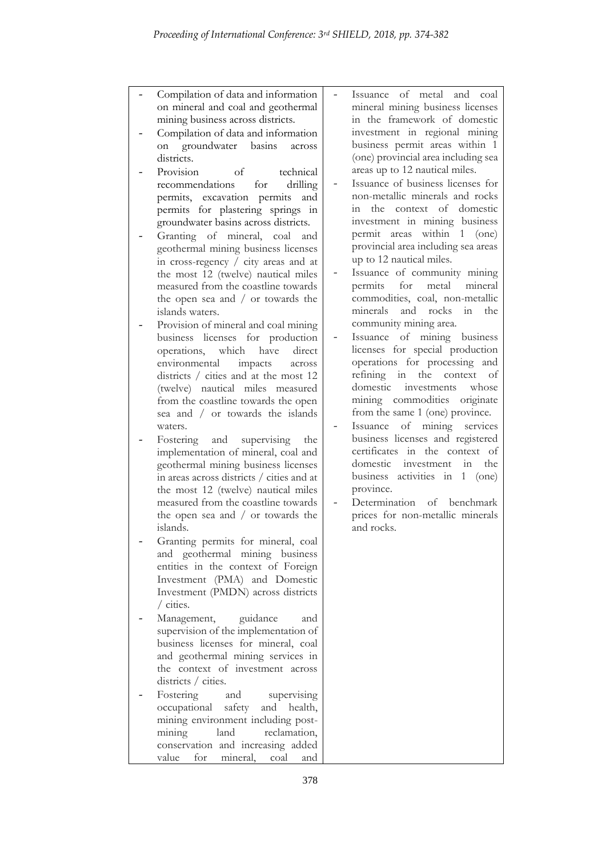- Compilation of data and information on mineral and coal and geothermal mining business across districts.
- Compilation of data and information on groundwater basins across districts.
- Provision of technical recommendations for drilling permits, excavation permits and permits for plastering springs in groundwater basins across districts.
- Granting of mineral, coal and geothermal mining business licenses in cross-regency  $\overline{\smash{)}\ }$  city areas and at the most 12 (twelve) nautical miles measured from the coastline towards the open sea and / or towards the islands waters.
- Provision of mineral and coal mining business licenses for production operations, which have direct environmental impacts across districts / cities and at the most 12 (twelve) nautical miles measured from the coastline towards the open sea and / or towards the islands waters.
- Fostering and supervising the implementation of mineral, coal and geothermal mining business licenses in areas across districts / cities and at the most 12 (twelve) nautical miles measured from the coastline towards the open sea and / or towards the islands.
- Granting permits for mineral, coal and geothermal mining business entities in the context of Foreign Investment (PMA) and Domestic Investment (PMDN) across districts / cities.
- Management, guidance and supervision of the implementation of business licenses for mineral, coal and geothermal mining services in the context of investment across districts / cities.
- Fostering and supervising occupational safety and health, mining environment including postmining land reclamation, conservation and increasing added value for mineral, coal and
- Issuance of metal and coal mineral mining business licenses in the framework of domestic investment in regional mining business permit areas within 1 (one) provincial area including sea areas up to 12 nautical miles.
- Issuance of business licenses for non-metallic minerals and rocks in the context of domestic investment in mining business permit areas within 1 (one) provincial area including sea areas up to 12 nautical miles.
- Issuance of community mining permits for metal mineral commodities, coal, non-metallic minerals and rocks in the community mining area.
- Issuance of mining business licenses for special production operations for processing and refining in the context of domestic investments whose mining commodities originate from the same 1 (one) province.
- Issuance of mining services business licenses and registered certificates in the context of domestic investment in the business activities in 1 (one) province.
- Determination of benchmark prices for non-metallic minerals and rocks.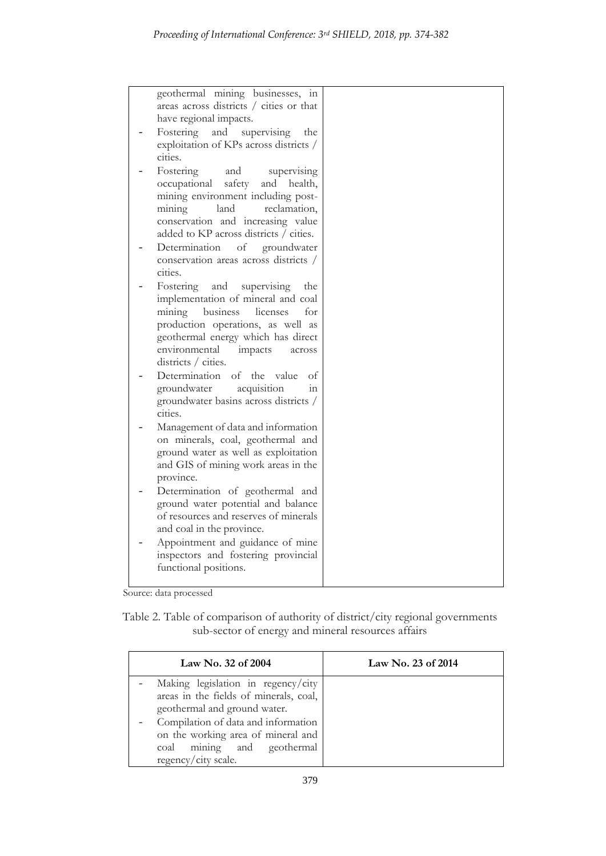| geothermal mining businesses, in<br>areas across districts / cities or that<br>have regional impacts.<br>Fostering and supervising<br>the<br>exploitation of KPs across districts /<br>cities.<br>Fostering<br>and<br>supervising<br>safety<br>occupational<br>and health,<br>mining environment including post-<br>mining<br>land<br>reclamation.<br>conservation and increasing value<br>added to KP across districts / cities.<br>Determination<br>of<br>groundwater<br>conservation areas across districts /<br>cities.<br>Fostering<br>supervising<br>and<br>the<br>implementation of mineral and coal<br>mining<br>business<br>licenses<br>for<br>production operations, as well as<br>geothermal energy which has direct<br>environmental<br>impacts<br>across<br>districts / cities.<br>Determination<br>of<br>the value<br>οf<br>groundwater<br>acquisition<br>111<br>groundwater basins across districts /<br>cities.<br>Management of data and information<br>on minerals, coal, geothermal and<br>ground water as well as exploitation |  |
|----------------------------------------------------------------------------------------------------------------------------------------------------------------------------------------------------------------------------------------------------------------------------------------------------------------------------------------------------------------------------------------------------------------------------------------------------------------------------------------------------------------------------------------------------------------------------------------------------------------------------------------------------------------------------------------------------------------------------------------------------------------------------------------------------------------------------------------------------------------------------------------------------------------------------------------------------------------------------------------------------------------------------------------------------|--|
| and GIS of mining work areas in the<br>province.<br>Determination of geothermal and<br>ground water potential and balance<br>of resources and reserves of minerals<br>and coal in the province.                                                                                                                                                                                                                                                                                                                                                                                                                                                                                                                                                                                                                                                                                                                                                                                                                                                    |  |
| Appointment and guidance of mine<br>inspectors and fostering provincial<br>functional positions.                                                                                                                                                                                                                                                                                                                                                                                                                                                                                                                                                                                                                                                                                                                                                                                                                                                                                                                                                   |  |

Source: data processed

Table 2. Table of comparison of authority of district/city regional governments sub-sector of energy and mineral resources affairs

| Law No. 32 of 2004                                                                                                                                                                                                                             | Law No. 23 of $2014$ |
|------------------------------------------------------------------------------------------------------------------------------------------------------------------------------------------------------------------------------------------------|----------------------|
| Making legislation in regency/city<br>areas in the fields of minerals, coal,<br>geothermal and ground water.<br>Compilation of data and information<br>on the working area of mineral and<br>coal mining and geothermal<br>regency/city scale. |                      |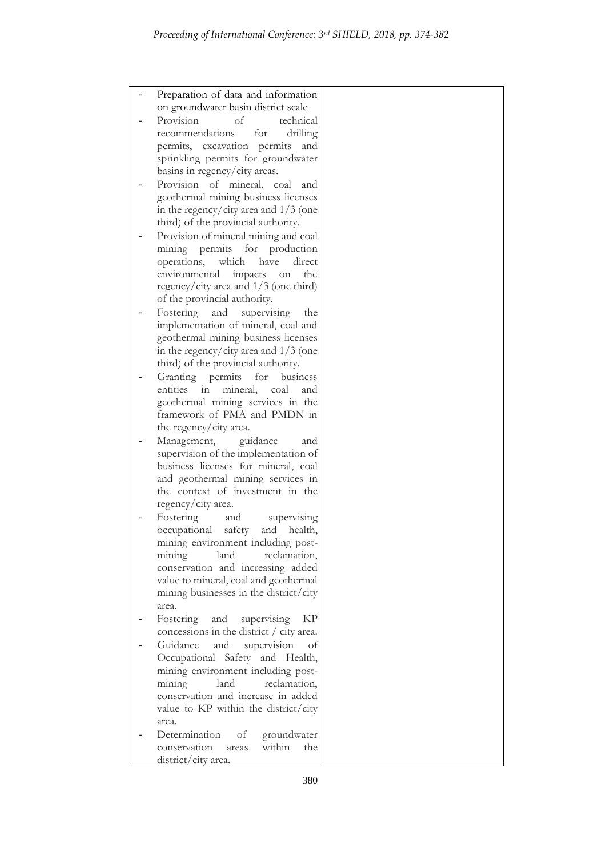| Preparation of data and information                                             |  |
|---------------------------------------------------------------------------------|--|
| on groundwater basin district scale                                             |  |
| Provision<br>of<br>technical                                                    |  |
| recommendations<br>drilling<br>for                                              |  |
| permits, excavation permits<br>and<br>sprinkling permits for groundwater        |  |
| basins in regency/city areas.                                                   |  |
| Provision of mineral, coal<br>and                                               |  |
| geothermal mining business licenses                                             |  |
| in the regency/city area and $1/3$ (one                                         |  |
| third) of the provincial authority.                                             |  |
| Provision of mineral mining and coal                                            |  |
| mining permits for<br>production                                                |  |
| operations,<br>which<br>direct<br>have                                          |  |
| environmental<br>impacts<br>the<br>on                                           |  |
| regency/city area and $1/3$ (one third)                                         |  |
| of the provincial authority.                                                    |  |
| Fostering<br>and<br>supervising<br>the<br>implementation of mineral, coal and   |  |
| geothermal mining business licenses                                             |  |
| in the regency/city area and $1/3$ (one                                         |  |
| third) of the provincial authority.                                             |  |
| Granting<br>permits<br>for<br>business                                          |  |
| entities<br>mineral,<br>coal<br>111<br>and                                      |  |
| geothermal mining services in the                                               |  |
| framework of PMA and PMDN in                                                    |  |
| the regency/city area.                                                          |  |
| Management,<br>guidance<br>and<br>supervision of the implementation of          |  |
| business licenses for mineral, coal                                             |  |
| and geothermal mining services in                                               |  |
| the context of investment in the                                                |  |
| regency/city area.                                                              |  |
| Fostering<br>supervising<br>and                                                 |  |
| occupational<br>safety<br>and<br>health,                                        |  |
| mining environment including post-                                              |  |
| land<br>reclamation,<br>mining                                                  |  |
| conservation and increasing added                                               |  |
| value to mineral, coal and geothermal<br>mining businesses in the district/city |  |
| area.                                                                           |  |
| Fostering<br>supervising<br>KP<br>and                                           |  |
| concessions in the district $\frac{1}{1}$ city area.                            |  |
| Guidance<br>supervision<br>and<br>оf                                            |  |
| Occupational Safety and Health,                                                 |  |
| mining environment including post-                                              |  |
| land<br>reclamation,<br>mining                                                  |  |
| conservation and increase in added                                              |  |
| value to KP within the district/city                                            |  |
| area.                                                                           |  |
| Determination<br>οf<br>groundwater<br>conservation<br>within<br>the<br>areas    |  |
| district/city area.                                                             |  |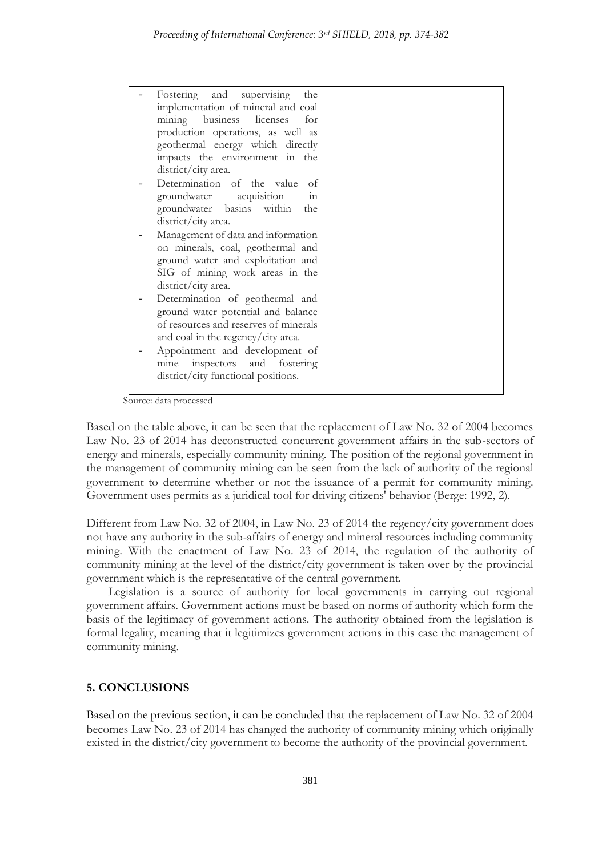| Fostering and supervising<br>the      |  |
|---------------------------------------|--|
| implementation of mineral and coal    |  |
| mining business licenses<br>for       |  |
| production operations, as well as     |  |
| geothermal energy which directly      |  |
| impacts the environment in the        |  |
| district/city area.                   |  |
| Determination of the value<br>οf      |  |
| groundwater acquisition<br>111        |  |
| groundwater basins within<br>the      |  |
| district/city area.                   |  |
| Management of data and information    |  |
| on minerals, coal, geothermal and     |  |
| ground water and exploitation and     |  |
| SIG of mining work areas in the       |  |
| district/city area.                   |  |
| Determination of geothermal and       |  |
| ground water potential and balance    |  |
| of resources and reserves of minerals |  |
| and coal in the regency/city area.    |  |
| Appointment and development of        |  |
| mine inspectors and fostering         |  |
| district/city functional positions.   |  |
|                                       |  |

Source: data processed

Based on the table above, it can be seen that the replacement of Law No. 32 of 2004 becomes Law No. 23 of 2014 has deconstructed concurrent government affairs in the sub-sectors of energy and minerals, especially community mining. The position of the regional government in the management of community mining can be seen from the lack of authority of the regional government to determine whether or not the issuance of a permit for community mining. Government uses permits as a juridical tool for driving citizens' behavior (Berge: 1992, 2).

Different from Law No. 32 of 2004, in Law No. 23 of 2014 the regency/city government does not have any authority in the sub-affairs of energy and mineral resources including community mining. With the enactment of Law No. 23 of 2014, the regulation of the authority of community mining at the level of the district/city government is taken over by the provincial government which is the representative of the central government.

Legislation is a source of authority for local governments in carrying out regional government affairs. Government actions must be based on norms of authority which form the basis of the legitimacy of government actions. The authority obtained from the legislation is formal legality, meaning that it legitimizes government actions in this case the management of community mining.

### **5. CONCLUSIONS**

Based on the previous section, it can be concluded that the replacement of Law No. 32 of 2004 becomes Law No. 23 of 2014 has changed the authority of community mining which originally existed in the district/city government to become the authority of the provincial government.